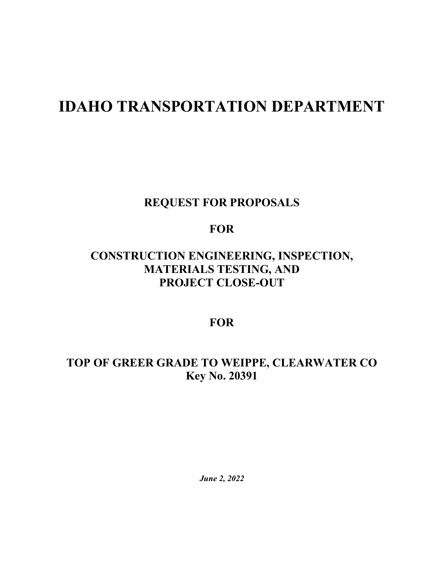# **IDAHO TRANSPORTATION DEPARTMENT**

**REQUEST FOR PROPOSALS**

**FOR**

# **CONSTRUCTION ENGINEERING, INSPECTION, MATERIALS TESTING, AND PROJECT CLOSE-OUT**

# **FOR**

# **TOP OF GREER GRADE TO WEIPPE, CLEARWATER CO Key No. 20391**

*June 2, 2022*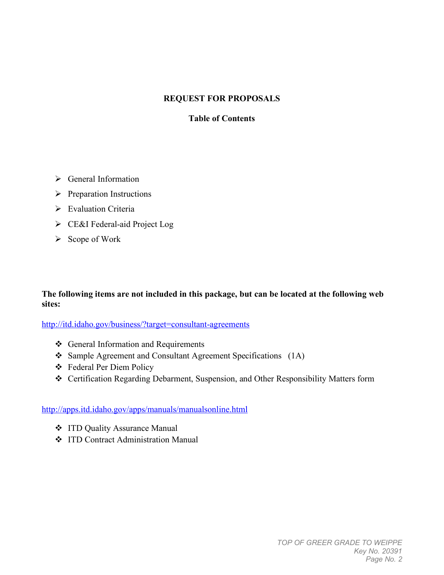## **REQUEST FOR PROPOSALS**

#### **Table of Contents**

- $\triangleright$  General Information
- $\triangleright$  Preparation Instructions
- $\triangleright$  Evaluation Criteria
- CE&I Federal-aid Project Log
- $\triangleright$  Scope of Work

#### **The following items are not included in this package, but can be located at the following web sites:**

<http://itd.idaho.gov/business/?target=consultant-agreements>

- General Information and Requirements
- Sample Agreement and Consultant Agreement Specifications (1A)
- Federal Per Diem Policy
- Certification Regarding Debarment, Suspension, and Other Responsibility Matters form

#### <http://apps.itd.idaho.gov/apps/manuals/manualsonline.html>

- ITD Quality Assurance Manual
- **❖** ITD Contract Administration Manual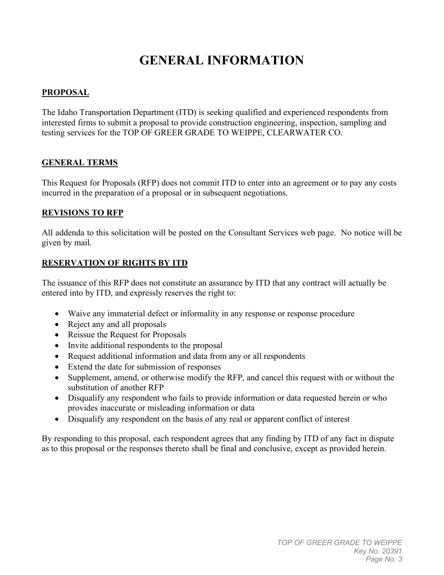# **GENERAL INFORMATION**

# **PROPOSAL**

The Idaho Transportation Department (ITD) is seeking qualified and experienced respondents from interested firms to submit a proposal to provide construction engineering, inspection, sampling and testing services for the TOP OF GREER GRADE TO WEIPPE, CLEARWATER CO.

# **GENERAL TERMS**

This Request for Proposals (RFP) does not commit ITD to enter into an agreement or to pay any costs incurred in the preparation of a proposal or in subsequent negotiations.

### **REVISIONS TO RFP**

All addenda to this solicitation will be posted on the Consultant Services web page. No notice will be given by mail.

### **RESERVATION OF RIGHTS BY ITD**

The issuance of this RFP does not constitute an assurance by ITD that any contract will actually be entered into by ITD, and expressly reserves the right to:

- Waive any immaterial defect or informality in any response or response procedure
- Reject any and all proposals
- Reissue the Request for Proposals
- Invite additional respondents to the proposal
- Request additional information and data from any or all respondents
- Extend the date for submission of responses
- Supplement, amend, or otherwise modify the RFP, and cancel this request with or without the substitution of another RFP
- Disqualify any respondent who fails to provide information or data requested herein or who provides inaccurate or misleading information or data
- Disqualify any respondent on the basis of any real or apparent conflict of interest

By responding to this proposal, each respondent agrees that any finding by ITD of any fact in dispute as to this proposal or the responses thereto shall be final and conclusive, except as provided herein.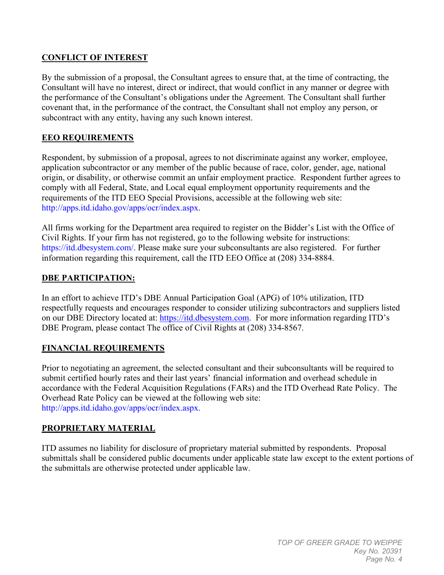### **CONFLICT OF INTEREST**

By the submission of a proposal, the Consultant agrees to ensure that, at the time of contracting, the Consultant will have no interest, direct or indirect, that would conflict in any manner or degree with the performance of the Consultant's obligations under the Agreement. The Consultant shall further covenant that, in the performance of the contract, the Consultant shall not employ any person, or subcontract with any entity, having any such known interest.

### **EEO REQUIREMENTS**

Respondent, by submission of a proposal, agrees to not discriminate against any worker, employee, application subcontractor or any member of the public because of race, color, gender, age, national origin, or disability, or otherwise commit an unfair employment practice. Respondent further agrees to comply with all Federal, State, and Local equal employment opportunity requirements and the requirements of the ITD EEO Special Provisions, accessible at the following web site: http://apps.itd.idaho.gov/apps/ocr/index.aspx.

All firms working for the Department area required to register on the Bidder's List with the Office of Civil Rights. If your firm has not registered, go to the following website for instructions: [https://itd.dbesystem.com/.](https://itd.dbesystem.com/) Please make sure your subconsultants are also registered. For further information regarding this requirement, call the ITD EEO Office at (208) 334-8884.

#### **DBE PARTICIPATION:**

In an effort to achieve ITD's DBE Annual Participation Goal (APG) of 10% utilization, ITD respectfully requests and encourages responder to consider utilizing subcontractors and suppliers listed on our DBE Directory located at: [https://itd.dbesystem.com.](https://itd.dbesystem.com/) For more information regarding ITD's DBE Program, please contact The office of Civil Rights at (208) 334-8567.

#### **FINANCIAL REQUIREMENTS**

Prior to negotiating an agreement, the selected consultant and their subconsultants will be required to submit certified hourly rates and their last years' financial information and overhead schedule in accordance with the Federal Acquisition Regulations (FARs) and the ITD Overhead Rate Policy. The Overhead Rate Policy can be viewed at the following web site: http://apps.itd.idaho.gov/apps/ocr/index.aspx.

#### **PROPRIETARY MATERIAL**

ITD assumes no liability for disclosure of proprietary material submitted by respondents. Proposal submittals shall be considered public documents under applicable state law except to the extent portions of the submittals are otherwise protected under applicable law.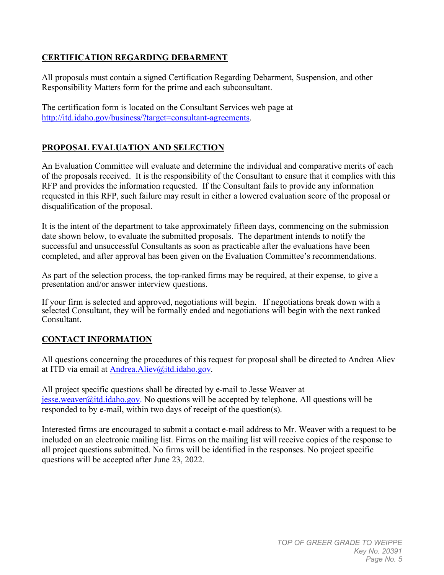## **CERTIFICATION REGARDING DEBARMENT**

All proposals must contain a signed Certification Regarding Debarment, Suspension, and other Responsibility Matters form for the prime and each subconsultant.

The certification form is located on the Consultant Services web page at [http://itd.idaho.gov/business/?target=consultant-agreements.](http://itd.idaho.gov/business/?target=consultant-agreements)

# **PROPOSAL EVALUATION AND SELECTION**

An Evaluation Committee will evaluate and determine the individual and comparative merits of each of the proposals received. It is the responsibility of the Consultant to ensure that it complies with this RFP and provides the information requested. If the Consultant fails to provide any information requested in this RFP, such failure may result in either a lowered evaluation score of the proposal or disqualification of the proposal.

It is the intent of the department to take approximately fifteen days, commencing on the submission date shown below, to evaluate the submitted proposals. The department intends to notify the successful and unsuccessful Consultants as soon as practicable after the evaluations have been completed, and after approval has been given on the Evaluation Committee's recommendations.

As part of the selection process, the top-ranked firms may be required, at their expense, to give a presentation and/or answer interview questions.

If your firm is selected and approved, negotiations will begin. If negotiations break down with a selected Consultant, they will be formally ended and negotiations will begin with the next ranked Consultant.

# **CONTACT INFORMATION**

All questions concerning the procedures of this request for proposal shall be directed to Andrea Aliev at ITD via email at [Andrea.Aliev@itd.idaho.gov.](mailto:Andrea.Aliev@itd.idaho.gov)

All project specific questions shall be directed by e-mail to Jesse Weaver at  $i$ esse.weaver@itd.idaho.gov. No questions will be accepted by telephone. All questions will be responded to by e-mail, within two days of receipt of the question(s).

Interested firms are encouraged to submit a contact e-mail address to Mr. Weaver with a request to be included on an electronic mailing list. Firms on the mailing list will receive copies of the response to all project questions submitted. No firms will be identified in the responses. No project specific questions will be accepted after June 23, 2022.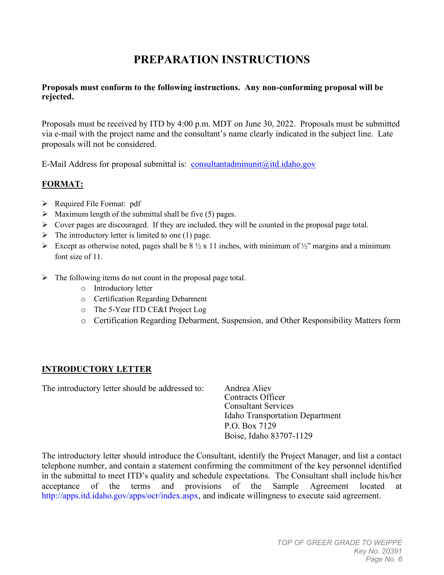# **PREPARATION INSTRUCTIONS**

#### **Proposals must conform to the following instructions. Any non-conforming proposal will be rejected.**

Proposals must be received by ITD by 4:00 p.m. MDT on June 30, 2022. Proposals must be submitted via e-mail with the project name and the consultant's name clearly indicated in the subject line. Late proposals will not be considered.

E-Mail Address for proposal submittal is: [consultantadminunit@itd.idaho.gov](mailto:consultantadminunit@itd.idaho.gov)

# **FORMAT:**

- $\triangleright$  Required File Format: pdf
- $\triangleright$  Maximum length of the submittal shall be five (5) pages.
- $\triangleright$  Cover pages are discouraged. If they are included, they will be counted in the proposal page total.
- $\triangleright$  The introductory letter is limited to one (1) page.
- Except as otherwise noted, pages shall be  $8\frac{1}{2} \times 11$  inches, with minimum of  $\frac{1}{2}$ " margins and a minimum font size of 11.
- $\triangleright$  The following items do not count in the proposal page total.
	- o Introductory letter
	- o Certification Regarding Debarment
	- o The 5-Year ITD CE&I Project Log
	- o Certification Regarding Debarment, Suspension, and Other Responsibility Matters form

# **INTRODUCTORY LETTER**

The introductory letter should be addressed to: Andrea Aliev

Contracts Officer Consultant Services Idaho Transportation Department P.O. Box 7129 Boise, Idaho 83707-1129

The introductory letter should introduce the Consultant, identify the Project Manager, and list a contact telephone number, and contain a statement confirming the commitment of the key personnel identified in the submittal to meet ITD's quality and schedule expectations. The Consultant shall include his/her acceptance of the terms and provisions of the Sample Agreement located at http://apps.itd.idaho.gov/apps/ocr/index.aspx, and indicate willingness to execute said agreement.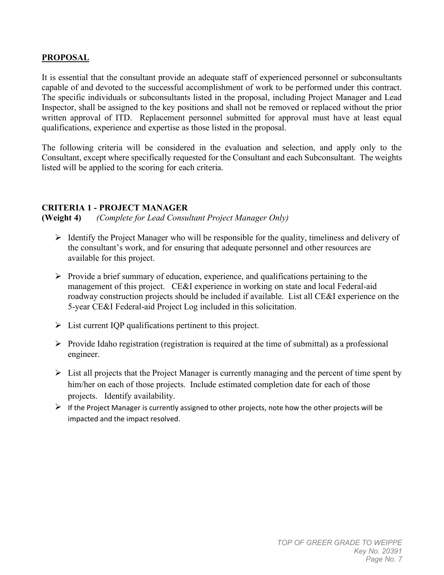#### **PROPOSAL**

It is essential that the consultant provide an adequate staff of experienced personnel or subconsultants capable of and devoted to the successful accomplishment of work to be performed under this contract. The specific individuals or subconsultants listed in the proposal, including Project Manager and Lead Inspector, shall be assigned to the key positions and shall not be removed or replaced without the prior written approval of ITD. Replacement personnel submitted for approval must have at least equal qualifications, experience and expertise as those listed in the proposal.

The following criteria will be considered in the evaluation and selection, and apply only to the Consultant, except where specifically requested for the Consultant and each Subconsultant. The weights listed will be applied to the scoring for each criteria.

#### **CRITERIA 1 - PROJECT MANAGER**

**(Weight 4)** *(Complete for Lead Consultant Project Manager Only)*

- $\triangleright$  Identify the Project Manager who will be responsible for the quality, timeliness and delivery of the consultant's work, and for ensuring that adequate personnel and other resources are available for this project.
- $\triangleright$  Provide a brief summary of education, experience, and qualifications pertaining to the management of this project. CE&I experience in working on state and local Federal-aid roadway construction projects should be included if available. List all CE&I experience on the 5-year CE&I Federal-aid Project Log included in this solicitation.
- $\triangleright$  List current IQP qualifications pertinent to this project.
- $\triangleright$  Provide Idaho registration (registration is required at the time of submittal) as a professional engineer.
- $\triangleright$  List all projects that the Project Manager is currently managing and the percent of time spent by him/her on each of those projects. Include estimated completion date for each of those projects. Identify availability.
- $\triangleright$  If the Project Manager is currently assigned to other projects, note how the other projects will be impacted and the impact resolved.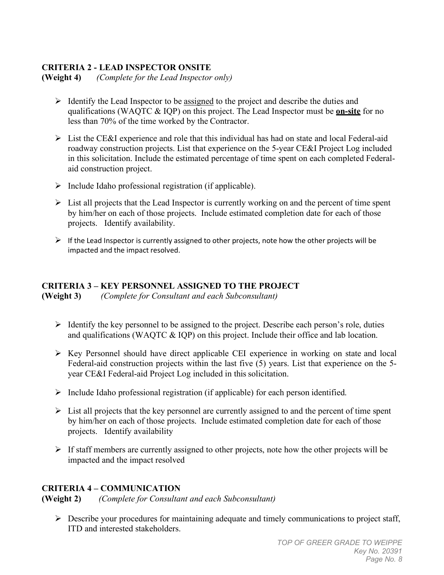### **CRITERIA 2 - LEAD INSPECTOR ONSITE**

**(Weight 4)** *(Complete for the Lead Inspector only)*

- $\triangleright$  Identify the Lead Inspector to be assigned to the project and describe the duties and qualifications (WAQTC & IQP) on this project. The Lead Inspector must be **on-site** for no less than 70% of the time worked by the Contractor.
- $\triangleright$  List the CE&I experience and role that this individual has had on state and local Federal-aid roadway construction projects. List that experience on the 5-year CE&I Project Log included in this solicitation. Include the estimated percentage of time spent on each completed Federalaid construction project.
- $\triangleright$  Include Idaho professional registration (if applicable).
- $\triangleright$  List all projects that the Lead Inspector is currently working on and the percent of time spent by him/her on each of those projects. Include estimated completion date for each of those projects. Identify availability.
- $\triangleright$  If the Lead Inspector is currently assigned to other projects, note how the other projects will be impacted and the impact resolved.

# **CRITERIA 3 – KEY PERSONNEL ASSIGNED TO THE PROJECT**

**(Weight 3)** *(Complete for Consultant and each Subconsultant)*

- $\triangleright$  Identify the key personnel to be assigned to the project. Describe each person's role, duties and qualifications (WAQTC & IQP) on this project. Include their office and lab location.
- $\triangleright$  Key Personnel should have direct applicable CEI experience in working on state and local Federal-aid construction projects within the last five (5) years. List that experience on the 5 year CE&I Federal-aid Project Log included in this solicitation.
- $\triangleright$  Include Idaho professional registration (if applicable) for each person identified.
- $\triangleright$  List all projects that the key personnel are currently assigned to and the percent of time spent by him/her on each of those projects. Include estimated completion date for each of those projects. Identify availability
- $\triangleright$  If staff members are currently assigned to other projects, note how the other projects will be impacted and the impact resolved

#### **CRITERIA 4 – COMMUNICATION**

**(Weight 2)** *(Complete for Consultant and each Subconsultant)*

 $\triangleright$  Describe your procedures for maintaining adequate and timely communications to project staff, ITD and interested stakeholders.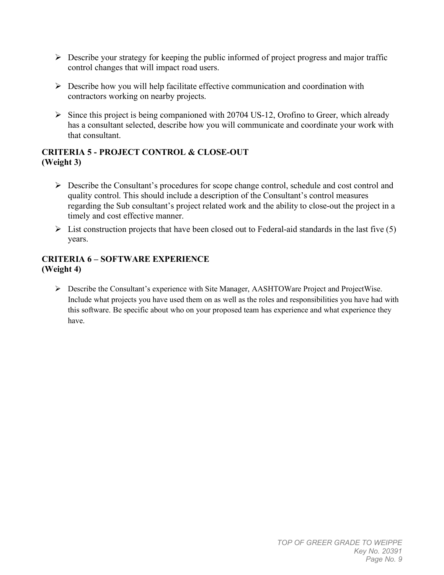- $\triangleright$  Describe your strategy for keeping the public informed of project progress and major traffic control changes that will impact road users.
- $\triangleright$  Describe how you will help facilitate effective communication and coordination with contractors working on nearby projects.
- $\triangleright$  Since this project is being companioned with 20704 US-12, Orofino to Greer, which already has a consultant selected, describe how you will communicate and coordinate your work with that consultant.

# **CRITERIA 5 - PROJECT CONTROL & CLOSE-OUT (Weight 3)**

- $\triangleright$  Describe the Consultant's procedures for scope change control, schedule and cost control and quality control. This should include a description of the Consultant's control measures regarding the Sub consultant's project related work and the ability to close-out the project in a timely and cost effective manner.
- $\triangleright$  List construction projects that have been closed out to Federal-aid standards in the last five (5) years.

## **CRITERIA 6 – SOFTWARE EXPERIENCE (Weight 4)**

 Describe the Consultant's experience with Site Manager, AASHTOWare Project and ProjectWise. Include what projects you have used them on as well as the roles and responsibilities you have had with this software. Be specific about who on your proposed team has experience and what experience they have.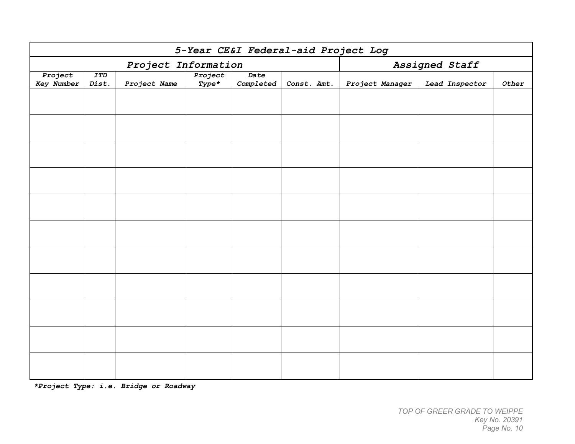| 5-Year CE&I Federal-aid Project Log |                     |              |                    |                   |             |                 |                |       |
|-------------------------------------|---------------------|--------------|--------------------|-------------------|-------------|-----------------|----------------|-------|
| Project Information                 |                     |              |                    |                   |             | Assigned Staff  |                |       |
| Project<br><b>Key Number</b>        | <b>ITD</b><br>Dist. | Project Name | Project<br>$Type*$ | Date<br>Completed | Const. Amt. | Project Manager | Lead Inspector | Other |
|                                     |                     |              |                    |                   |             |                 |                |       |
|                                     |                     |              |                    |                   |             |                 |                |       |
|                                     |                     |              |                    |                   |             |                 |                |       |
|                                     |                     |              |                    |                   |             |                 |                |       |
|                                     |                     |              |                    |                   |             |                 |                |       |
|                                     |                     |              |                    |                   |             |                 |                |       |
|                                     |                     |              |                    |                   |             |                 |                |       |
|                                     |                     |              |                    |                   |             |                 |                |       |
|                                     |                     |              |                    |                   |             |                 |                |       |
|                                     |                     |              |                    |                   |             |                 |                |       |
|                                     |                     |              |                    |                   |             |                 |                |       |

*\*Project Type: i.e. Bridge or Roadway*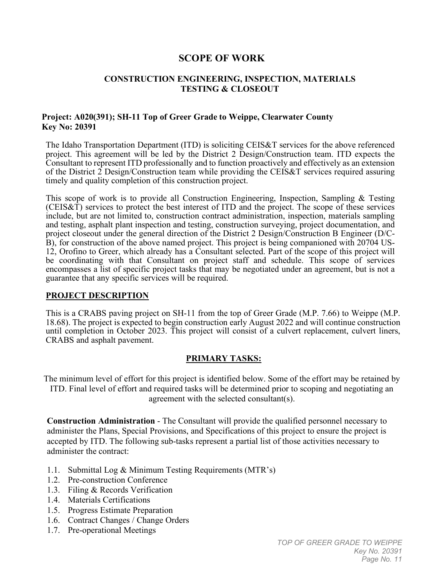# **SCOPE OF WORK**

#### **CONSTRUCTION ENGINEERING, INSPECTION, MATERIALS TESTING & CLOSEOUT**

#### **Project: A020(391); SH-11 Top of Greer Grade to Weippe, Clearwater County Key No: 20391**

The Idaho Transportation Department (ITD) is soliciting CEIS&T services for the above referenced project. This agreement will be led by the District 2 Design/Construction team. ITD expects the Consultant to represent ITD professionally and to function proactively and effectively as an extension of the District 2 Design/Construction team while providing the CEIS&T services required assuring timely and quality completion of this construction project.

This scope of work is to provide all Construction Engineering, Inspection, Sampling & Testing (CEIS&T) services to protect the best interest of ITD and the project. The scope of these services include, but are not limited to, construction contract administration, inspection, materials sampling and testing, asphalt plant inspection and testing, construction surveying, project documentation, and project closeout under the general direction of the District 2 Design/Construction B Engineer (D/C-B), for construction of the above named project. This project is being companioned with 20704 US-12, Orofino to Greer, which already has a Consultant selected. Part of the scope of this project will be coordinating with that Consultant on project staff and schedule. This scope of services encompasses a list of specific project tasks that may be negotiated under an agreement, but is not a guarantee that any specific services will be required.

#### **PROJECT DESCRIPTION**

This is a CRABS paving project on SH-11 from the top of Greer Grade (M.P. 7.66) to Weippe (M.P. 18.68). The project is expected to begin construction early August 2022 and will continue construction until completion in October 2023. This project will consist of a culvert replacement, culvert liners, CRABS and asphalt pavement.

#### **PRIMARY TASKS:**

The minimum level of effort for this project is identified below. Some of the effort may be retained by ITD. Final level of effort and required tasks will be determined prior to scoping and negotiating an agreement with the selected consultant(s).

**Construction Administration** - The Consultant will provide the qualified personnel necessary to administer the Plans, Special Provisions, and Specifications of this project to ensure the project is accepted by ITD. The following sub-tasks represent a partial list of those activities necessary to administer the contract:

- 1.1. Submittal Log & Minimum Testing Requirements (MTR's)
- 1.2. Pre-construction Conference
- 1.3. Filing & Records Verification
- 1.4. Materials Certifications
- 1.5. Progress Estimate Preparation
- 1.6. Contract Changes / Change Orders
- 1.7. Pre-operational Meetings